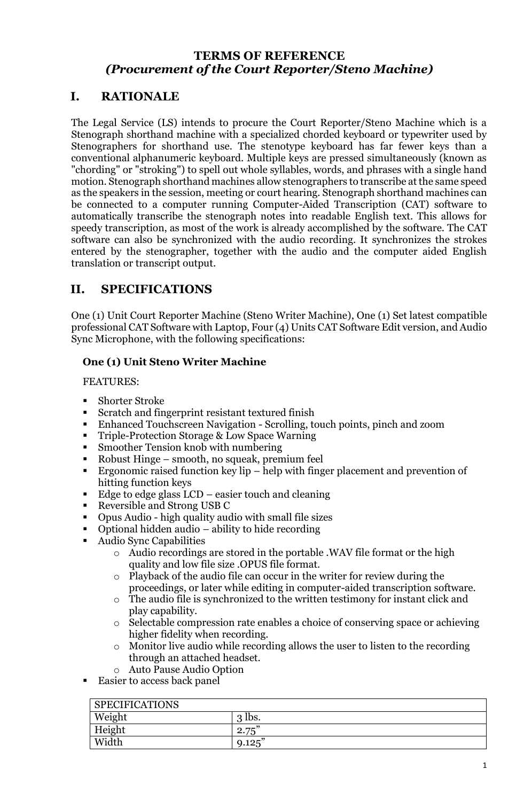# **TERMS OF REFERENCE**  *(Procurement of the Court Reporter/Steno Machine)*

# **I. RATIONALE**

The Legal Service (LS) intends to procure the Court Reporter/Steno Machine which is a Stenograph shorthand machine with a specialized chorded keyboard or typewriter used by Stenographers for shorthand use. The stenotype keyboard has far fewer keys than a conventional alphanumeric keyboard. Multiple keys are pressed simultaneously (known as "chording" or "stroking") to spell out whole syllables, words, and phrases with a single hand motion. Stenograph shorthand machines allow stenographers to transcribe at the same speed as the speakers in the session, meeting or court hearing. Stenograph shorthand machines can be connected to a computer running Computer-Aided Transcription (CAT) software to automatically transcribe the stenograph notes into readable English text. This allows for speedy transcription, as most of the work is already accomplished by the software. The CAT software can also be synchronized with the audio recording. It synchronizes the strokes entered by the stenographer, together with the audio and the computer aided English translation or transcript output.

## **II. SPECIFICATIONS**

One (1) Unit Court Reporter Machine (Steno Writer Machine), One (1) Set latest compatible professional CAT Software with Laptop, Four (4) Units CAT Software Edit version, and Audio Sync Microphone, with the following specifications:

### **One (1) Unit Steno Writer Machine**

FEATURES:

- Shorter Stroke
- Scratch and fingerprint resistant textured finish
- Enhanced Touchscreen Navigation Scrolling, touch points, pinch and zoom
- Triple-Protection Storage & Low Space Warning
- Smoother Tension knob with numbering
- Robust Hinge smooth, no squeak, premium feel
- **Example 1** Ergonomic raised function key lip help with finger placement and prevention of hitting function keys
- Edge to edge glass LCD easier touch and cleaning
- Reversible and Strong USB C
- Opus Audio high quality audio with small file sizes
- Optional hidden audio ability to hide recording
- Audio Sync Capabilities
	- Audio recordings are stored in the portable .WAV file format or the high quality and low file size .OPUS file format.
	- o Playback of the audio file can occur in the writer for review during the proceedings, or later while editing in computer-aided transcription software.
	- o The audio file is synchronized to the written testimony for instant click and play capability.
	- o Selectable compression rate enables a choice of conserving space or achieving higher fidelity when recording.
	- o Monitor live audio while recording allows the user to listen to the recording through an attached headset.
	- o Auto Pause Audio Option
- Easier to access back panel

| <b>SPECIFICATIONS</b> |                      |
|-----------------------|----------------------|
| Weight                | lbs.<br>3            |
| Height                | $H^{\mu\nu}$<br>2.75 |
| Width                 | $9.125$ "            |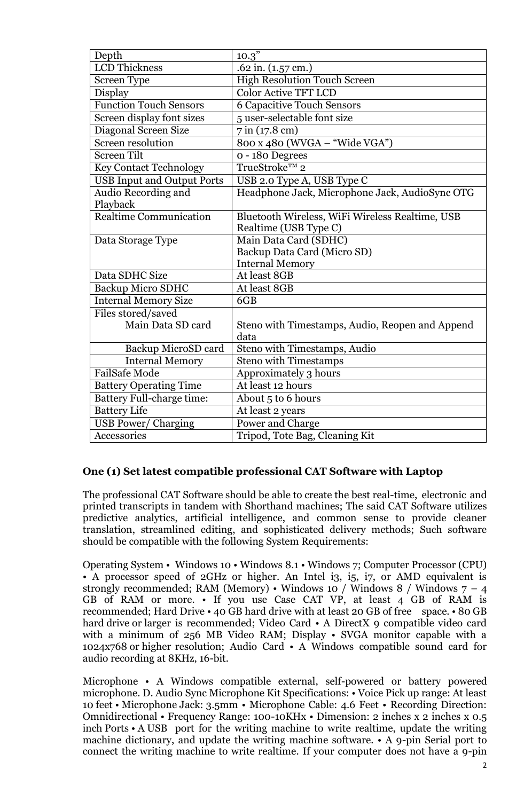| Depth                                         | 10.3"                                           |
|-----------------------------------------------|-------------------------------------------------|
| <b>LCD</b> Thickness                          | .62 in. $(1.57 \text{ cm.})$                    |
| <b>Screen Type</b>                            | <b>High Resolution Touch Screen</b>             |
| Display                                       | <b>Color Active TFT LCD</b>                     |
| <b>Function Touch Sensors</b>                 | <b>6 Capacitive Touch Sensors</b>               |
| Screen display font sizes                     | 5 user-selectable font size                     |
| Diagonal Screen Size                          | 7 in (17.8 cm)                                  |
| Screen resolution                             | 800 x 480 (WVGA - "Wide VGA")                   |
| <b>Screen Tilt</b>                            | o - 180 Degrees                                 |
| <b>Key Contact Technology</b>                 | TrueStroke™ 2                                   |
| <b>USB Input and Output Ports</b>             | USB 2.0 Type A, USB Type C                      |
| Audio Recording and                           | Headphone Jack, Microphone Jack, AudioSync OTG  |
| Playback                                      |                                                 |
| Realtime Communication                        | Bluetooth Wireless, WiFi Wireless Realtime, USB |
|                                               | Realtime (USB Type C)                           |
| Data Storage Type                             | Main Data Card (SDHC)                           |
|                                               | Backup Data Card (Micro SD)                     |
|                                               | <b>Internal Memory</b>                          |
| Data SDHC Size                                | At least 8GB                                    |
| Backup Micro SDHC                             | At least 8GB                                    |
| <b>Internal Memory Size</b>                   | 6GB                                             |
| Files stored/saved                            |                                                 |
| Main Data SD card                             | Steno with Timestamps, Audio, Reopen and Append |
|                                               | data                                            |
| Backup MicroSD card<br><b>Internal Memory</b> | Steno with Timestamps, Audio                    |
| <b>FailSafe Mode</b>                          | <b>Steno with Timestamps</b>                    |
|                                               | Approximately 3 hours                           |
| <b>Battery Operating Time</b>                 | At least 12 hours                               |
| Battery Full-charge time:                     | About 5 to 6 hours                              |
| <b>Battery Life</b>                           | At least 2 years                                |
| <b>USB Power/ Charging</b>                    | Power and Charge                                |
| Accessories                                   | Tripod, Tote Bag, Cleaning Kit                  |

### **One (1) Set latest compatible professional CAT Software with Laptop**

The professional CAT Software should be able to create the best real-time, electronic and printed transcripts in tandem with Shorthand machines; The said CAT Software utilizes predictive analytics, artificial intelligence, and common sense to provide cleaner translation, streamlined editing, and sophisticated delivery methods; Such software should be compatible with the following System Requirements:

Operating System • Windows 10 • Windows 8.1 • Windows 7; Computer Processor (CPU) • A processor speed of 2GHz or higher. An Intel i3, i5, i7, or AMD equivalent is strongly recommended; RAM (Memory) • Windows 10 / Windows 8 / Windows  $7 - 4$ GB of RAM or more. • If you use Case CAT VP, at least 4 GB of RAM is recommended; Hard Drive • 40 GB hard drive with at least 20 GB of free space. • 80 GB hard drive or larger is recommended; Video Card • A DirectX 9 compatible video card with a minimum of 256 MB Video RAM; Display • SVGA monitor capable with a 1024x768 or higher resolution; Audio Card • A Windows compatible sound card for audio recording at 8KHz, 16-bit.

Microphone • A Windows compatible external, self-powered or battery powered microphone. D. Audio Sync Microphone Kit Specifications: • Voice Pick up range: At least 10 feet • Microphone Jack: 3.5mm • Microphone Cable: 4.6 Feet • Recording Direction: Omnidirectional • Frequency Range: 100-10KHx • Dimension: 2 inches x 2 inches x 0.5 inch Ports • A USB port for the writing machine to write realtime, update the writing machine dictionary, and update the writing machine software. • A 9-pin Serial port to connect the writing machine to write realtime. If your computer does not have a 9-pin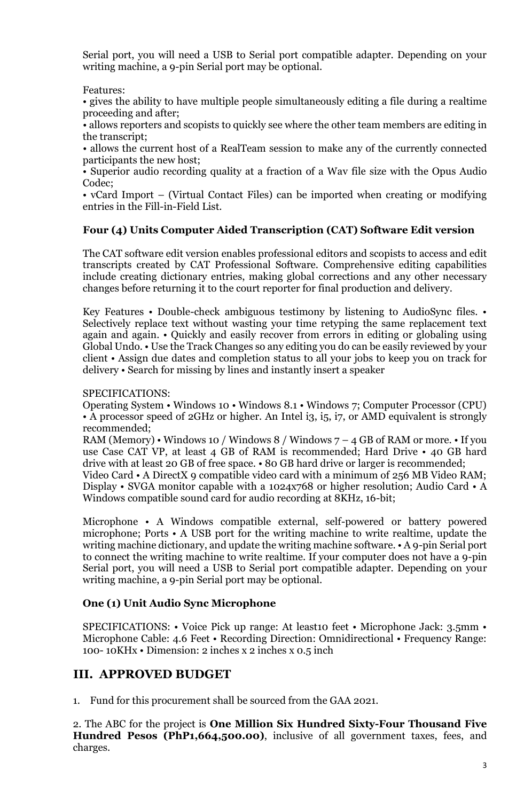Serial port, you will need a USB to Serial port compatible adapter. Depending on your writing machine, a 9-pin Serial port may be optional.

Features:

• gives the ability to have multiple people simultaneously editing a file during a realtime proceeding and after;

• allows reporters and scopists to quickly see where the other team members are editing in the transcript;

• allows the current host of a RealTeam session to make any of the currently connected participants the new host;

• Superior audio recording quality at a fraction of a Wav file size with the Opus Audio Codec;

• vCard Import – (Virtual Contact Files) can be imported when creating or modifying entries in the Fill-in-Field List.

### **Four (4) Units Computer Aided Transcription (CAT) Software Edit version**

The CAT software edit version enables professional editors and scopists to access and edit transcripts created by CAT Professional Software. Comprehensive editing capabilities include creating dictionary entries, making global corrections and any other necessary changes before returning it to the court reporter for final production and delivery.

Key Features • Double-check ambiguous testimony by listening to AudioSync files. • Selectively replace text without wasting your time retyping the same replacement text again and again. • Quickly and easily recover from errors in editing or globaling using Global Undo. • Use the Track Changes so any editing you do can be easily reviewed by your client • Assign due dates and completion status to all your jobs to keep you on track for delivery • Search for missing by lines and instantly insert a speaker

#### SPECIFICATIONS:

Operating System • Windows 10 • Windows 8.1 • Windows 7; Computer Processor (CPU) • A processor speed of 2GHz or higher. An Intel i3, i5, i7, or AMD equivalent is strongly recommended;

RAM (Memory) • Windows 10 / Windows 8 / Windows  $7 - 4$  GB of RAM or more. • If you use Case CAT VP, at least 4 GB of RAM is recommended; Hard Drive • 40 GB hard drive with at least 20 GB of free space. • 80 GB hard drive or larger is recommended;

Video Card • A DirectX 9 compatible video card with a minimum of 256 MB Video RAM; Display • SVGA monitor capable with a 1024x768 or higher resolution; Audio Card • A Windows compatible sound card for audio recording at 8KHz, 16-bit;

Microphone • A Windows compatible external, self-powered or battery powered microphone; Ports • A USB port for the writing machine to write realtime, update the writing machine dictionary, and update the writing machine software. • A 9-pin Serial port to connect the writing machine to write realtime. If your computer does not have a 9-pin Serial port, you will need a USB to Serial port compatible adapter. Depending on your writing machine, a 9-pin Serial port may be optional.

#### **One (1) Unit Audio Sync Microphone**

SPECIFICATIONS: • Voice Pick up range: At least10 feet • Microphone Jack: 3.5mm • Microphone Cable: 4.6 Feet • Recording Direction: Omnidirectional • Frequency Range: 100- 10KHx • Dimension: 2 inches x 2 inches x 0.5 inch

### **III. APPROVED BUDGET**

1. Fund for this procurement shall be sourced from the GAA 2021.

2. The ABC for the project is **One Million Six Hundred Sixty-Four Thousand Five Hundred Pesos (PhP1,664,500.00)**, inclusive of all government taxes, fees, and charges.